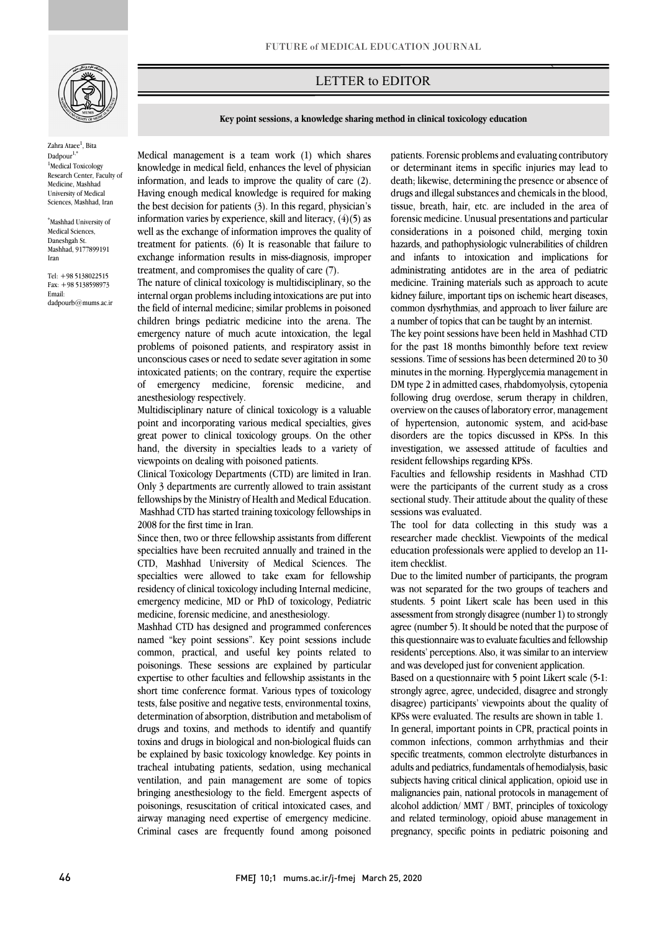

Zahra Ataee<sup>1</sup>, Bita Dadpour<sup>1,</sup> <sup>1</sup>Medical Toxicology Research Center, Faculty of Medicine, Mashhad University of Medical Sciences, Mashhad, Iran

\* Mashhad University of Medical Sciences, Daneshøah St. Mashhad, 9177899191 Iran

Tel: +98 5138022515 Fax: +98 5138598973 Email: dadpourb@mums.ac.ir

## LETTER to EDITOR

**Key point sessions, a knowledge sharing method in clinical toxicology education**

 Medical management is a team work (1) which shares knowledge in medical field, enhances the level of physician information, and leads to improve the quality of care (2). Having enough medical knowledge is required for making information varies by experience, skill and literacy,  $(4)(5)$  as well as the exchange of information improves the quality of treatment for patients. (6) It is reasonable that failure to exchange information results in miss-diagnosis, improper the best decision for patients (3). In this regard, physician's treatment, and compromises the quality of care (7).

Ī

The nature of clinical toxicology is multidisciplinary, so the internal organ problems including intoxications are put into the field of internal medicine; similar problems in poisoned children brings pediatric medicine into the arena. The problems of poisoned patients, and respiratory assist in unconscious cases or need to sedate sever agitation in some intoxicated patients; on the contrary, require the expertise of emergency medicine, forensic medicine, and emergency nature of much acute intoxication, the legal anesthesiology respectively.

 Multidisciplinary nature of clinical toxicology is a valuable point and incorporating various medical specialties, gives great power to clinical toxicology groups. On the other hand, the diversity in specialties leads to a variety of viewpoints on dealing with poisoned patients.

 Clinical Toxicology Departments (CTD) are limited in Iran. Only 3 departments are currently allowed to train assistant fellowships by the Ministry of Health and Medical Education. Mashhad CTD has started training toxicology fellowships in 2008 for the first time in Iran.

Since then, two or three fellowship assistants from different specialties have been recruited annually and trained in the CTD, Mashhad University of Medical Sciences. The specialties were allowed to take exam for fellowship emergency medicine, MD or PhD of toxicology, Pediatric medicine, forensic medicine, and anesthesiology. residency of clinical toxicology including Internal medicine,

 Mashhad CTD has designed and programmed conferences common, practical, and useful key points related to poisonings. These sessions are explained by particular expertise to other faculties and fellowship assistants in the short time conference format. Various types of toxicology tests, false positive and negative tests, environmental toxins, drugs and toxins, and methods to identify and quantify toxins and drugs in biological and non-biological fluids can be explained by basic toxicology knowledge. Key points in ventilation, and pain management are some of topics bringing anesthesiology to the field. Emergent aspects of poisonings, resuscitation of critical intoxicated cases, and airway managing need expertise of emergency medicine. Criminal cases are frequently found among poisoned named "key point sessions". Key point sessions include determination of absorption, distribution and metabolism of tracheal intubating patients, sedation, using mechanical

 patients. Forensic problemsand evaluating contributory or determinant items in specific injuries may lead to death; likewise, determining the presence or absence of drugs and illegal substances and chemicals in the blood, forensic medicine. Unusual presentations and particular considerations in a poisoned child, merging toxin hazards, and pathophysiologic vulnerabilities of children and infants to intoxication and implications for medicine. Training materials such as approach to acute kidney failure, important tips on ischemic heart diseases, common dysrhythmias, and approach to liver failure are a number of topics that can be taught by an internist. tissue, breath, hair, etc. are included in the area of administrating antidotes are in the area of pediatric

`ص  $\overline{a}$ 

 for the past 18 months bimonthly before text review sessions. Time of sessions has been determined 20 to 30 minutes in the morning. Hyperglycemia management in following drug overdose, serum therapy in children, overview on the causes of laboratory error,management of hypertension, autonomic system, and acid-base disorders are the topics discussed in KPSs. In this investigation, we assessed attitude of faculties and The key point sessions have been held in Mashhad CTD DM type 2 in admitted cases, rhabdomyolysis, cytopenia resident fellowships regarding KPSs.

 Faculties and fellowship residents in Mashhad CTD were the participants of the current study as a cross sectional study. Their attitude about the quality of these sessions was evaluated.

 The tool for data collecting in this study was a researcher made checklist. Viewpoints of the medical education professionals were applied to develop an 11 item checklist.

 was not separated for the two groups of teachers and students. 5 point Likert scale has been used in this assessment from strongly disagree (number 1) to strongly agree (number 5). It should be noted that the purpose of residents' perceptions. Also, it was similar to an interview and was developed just for convenient application. Due to the limited number of participants, the program this questionnaire wasto evaluate faculties and fellowship

 Based on a questionnaire with 5 point Likert scale (5-1: strongly agree, agree, undecided, disagree and strongly KPSs were evaluated. The results are shown in table 1. disagree) participants' viewpoints about the quality of

 In general, important points in CPR, practical points in common infections, common arrhythmias and their specific treatments, common electrolyte disturbances in subjects having critical clinical application, opioid use in malignancies pain, national protocols in management of alcohol addiction/ MMT / BMT, principles of toxicology and related terminology, opioid abuse management in pregnancy, specific points in pediatric poisoning and adults and pediatrics, fundamentals of hemodialysis, basic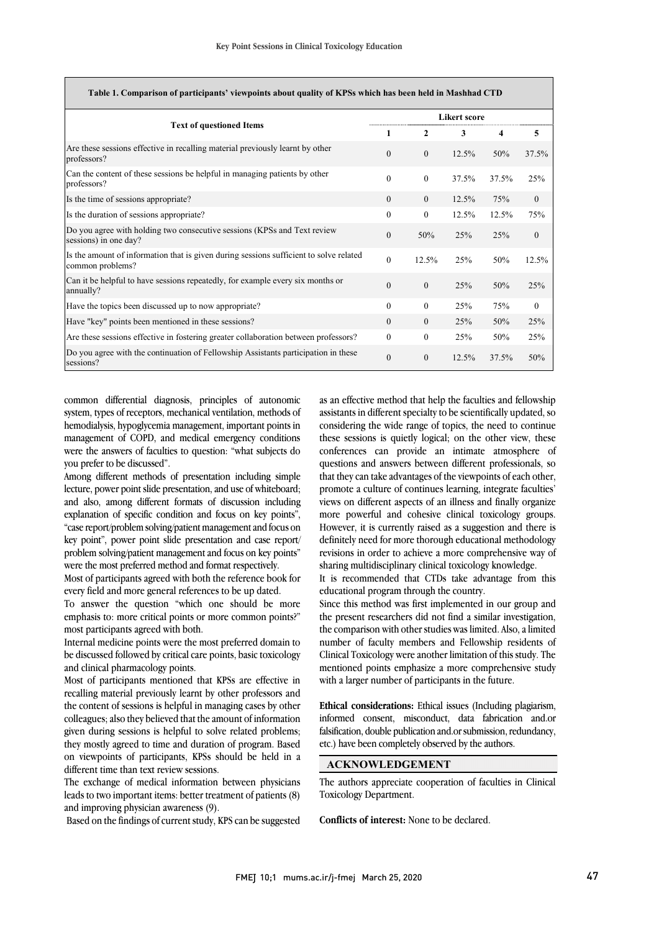| <b>Text of questioned Items</b>                                                                            | <b>Likert score</b> |              |       |       |          |
|------------------------------------------------------------------------------------------------------------|---------------------|--------------|-------|-------|----------|
|                                                                                                            | 1                   | $\mathbf{2}$ | 3     | 4     | 5        |
| Are these sessions effective in recalling material previously learnt by other<br>professors?               | $\theta$            | $\mathbf{0}$ | 12.5% | 50%   | 37.5%    |
| Can the content of these sessions be helpful in managing patients by other<br>professors?                  | $\theta$            | $\theta$     | 37.5% | 37.5% | 25%      |
| Is the time of sessions appropriate?                                                                       | $\Omega$            | $\Omega$     | 12.5% | 75%   | $\theta$ |
| Is the duration of sessions appropriate?                                                                   | $\theta$            | $\theta$     | 12.5% | 12.5% | 75%      |
| Do you agree with holding two consecutive sessions (KPSs and Text review<br>sessions) in one day?          | $\theta$            | 50%          | 25%   | 25%   | $\Omega$ |
| Is the amount of information that is given during sessions sufficient to solve related<br>common problems? | $\Omega$            | 12.5%        | 25%   | 50%   | 12.5%    |
| Can it be helpful to have sessions repeatedly, for example every six months or<br>annually?                | $\theta$            | $\Omega$     | 25%   | 50%   | 25%      |
| Have the topics been discussed up to now appropriate?                                                      | $\Omega$            | $\theta$     | 25%   | 75%   | $\theta$ |
| Have "key" points been mentioned in these sessions?                                                        | $\Omega$            | $\Omega$     | 25%   | 50%   | 25%      |
| Are these sessions effective in fostering greater collaboration between professors?                        | $\theta$            | $\theta$     | 25%   | 50%   | 25%      |
| Do you agree with the continuation of Fellowship Assistants participation in these<br>sessions?            | $\theta$            | $\Omega$     | 12.5% | 37.5% | 50%      |

common differential diagnosis, principles of autonomic system, types of receptors, mechanical ventilation, methods of hemodialysis, hypoglycemia management, important points in management of COPD, and medical emergency conditions were the answers of faculties to question: "what subjects do you prefer to be discussed".

Among different methods of presentation including simple lecture, power point slide presentation, and use of whiteboard; and also, among different formats of discussion including explanation of specific condition and focus on key points", "case report/problem solving/patient management and focus on key point", power point slide presentation and case report/ problem solving/patient management and focus on key points" were the most preferred method and format respectively.

Most of participants agreed with both the reference book for every field and more general references to be up dated.

To answer the question "which one should be more emphasis to: more critical points or more common points?" most participants agreed with both.

Internal medicine points were the most preferred domain to be discussed followed by critical care points, basic toxicology and clinical pharmacology points.

Most of participants mentioned that KPSs are effective in recalling material previously learnt by other professors and the content of sessions is helpful in managing cases by other colleagues; also they believed that the amount of information given during sessions is helpful to solve related problems; they mostly agreed to time and duration of program. Based on viewpoints of participants, KPSs should be held in a different time than text review sessions.

The exchange of medical information between physicians leads to two important items: better treatment of patients (8) and improving physician awareness (9).

Based on the findings of current study, KPS can be suggested

 as an effective method that help the faculties and fellowship considering the wide range of topics, the need to continue these sessions is quietly logical; on the other view, these conferences can provide an intimate atmosphere of that they can take advantages of the viewpoints of each other, promote a culture of continues learning, integrate faculties' views on different aspects of an illness and finally organize more powerful and cohesive clinical toxicology groups. definitely need for more thorough educational methodology revisions in order to achieve a more comprehensive way of sharing multidisciplinary clinical toxicology knowledge. assistants in different specialty to be scientifically updated, so questions and answers between different professionals, so However, it is currently raised as a suggestion and there is

 It is recommended that CTDs take advantage from this educational program through the country.

 Since this method was first implemented in our group and the present researchers did not find a similar investigation, the comparison with other studies was limited. Also, a limited number of faculty members and Fellowship residents of emicar roacology were another immation of this study. The<br>mentioned points emphasize a more comprehensive study with a larger number of participants in the future. Clinical Toxicology were another limitation of this study. The

 **Ethical considerations:** Ethical issues (Including plagiarism, falsification, double publication and.or submission, redundancy, etc.) have been completely observed by the authors. informed consent, misconduct, data fabrication and.or

## **ACKNOWLEDGEMENT**1

 Toxicology Department. The authors appreciate cooperation of faculties in Clinical

**Conflicts of interest:** None to be declared.